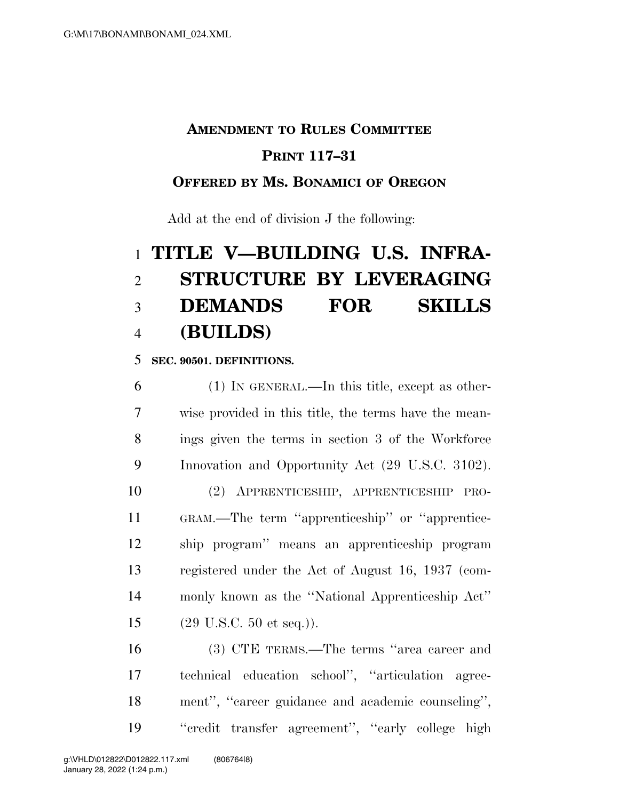## **AMENDMENT TO RULES COMMITTEE**

## **PRINT 117–31**

### **OFFERED BY MS. BONAMICI OF OREGON**

Add at the end of division J the following:

# **TITLE V—BUILDING U.S. INFRA- STRUCTURE BY LEVERAGING DEMANDS FOR SKILLS (BUILDS)**

#### **SEC. 90501. DEFINITIONS.**

 (1) IN GENERAL.—In this title, except as other- wise provided in this title, the terms have the mean- ings given the terms in section 3 of the Workforce Innovation and Opportunity Act (29 U.S.C. 3102). (2) APPRENTICESHIP, APPRENTICESHIP PRO- GRAM.—The term ''apprenticeship'' or ''apprentice- ship program'' means an apprenticeship program registered under the Act of August 16, 1937 (com- monly known as the ''National Apprenticeship Act'' (29 U.S.C. 50 et seq.)).

 (3) CTE TERMS.—The terms ''area career and technical education school'', ''articulation agree- ment'', ''career guidance and academic counseling'', ''credit transfer agreement'', ''early college high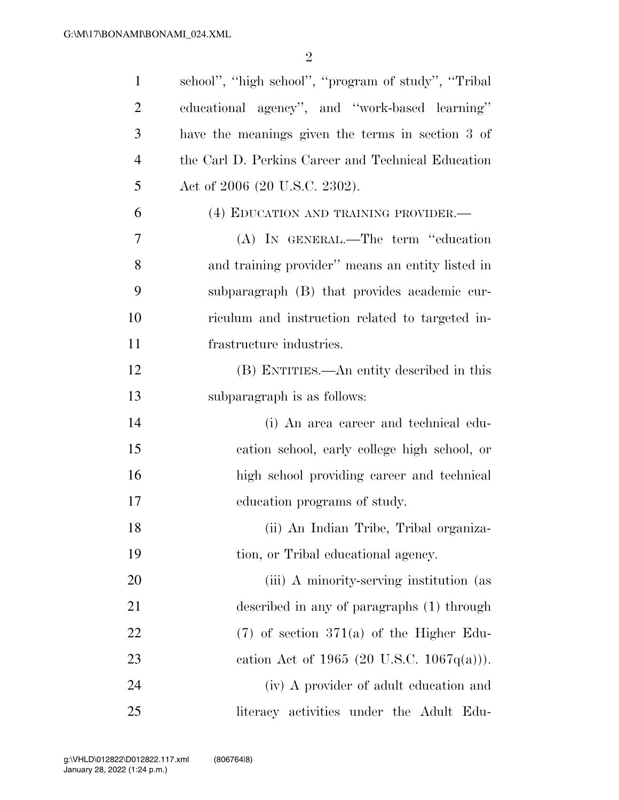| $\mathbf{1}$   | school", "high school", "program of study", "Tribal |
|----------------|-----------------------------------------------------|
| $\overline{2}$ | educational agency", and "work-based learning"      |
| 3              | have the meanings given the terms in section 3 of   |
| $\overline{4}$ | the Carl D. Perkins Career and Technical Education  |
| 5              | Act of 2006 (20 U.S.C. 2302).                       |
| 6              | (4) EDUCATION AND TRAINING PROVIDER.—               |
| 7              | (A) IN GENERAL.—The term "education                 |
| 8              | and training provider" means an entity listed in    |
| 9              | subparagraph (B) that provides academic cur-        |
| 10             | riculum and instruction related to targeted in-     |
| 11             | frastructure industries.                            |
| 12             | (B) ENTITIES.—An entity described in this           |
| 13             | subparagraph is as follows:                         |
| 14             | (i) An area career and technical edu-               |
| 15             | cation school, early college high school, or        |
| 16             | high school providing career and technical          |
| 17             | education programs of study.                        |
| 18             | (ii) An Indian Tribe, Tribal organiza-              |
| 19             | tion, or Tribal educational agency.                 |
| 20             | (iii) A minority-serving institution (as            |
| 21             | described in any of paragraphs (1) through          |
| 22             | $(7)$ of section 371(a) of the Higher Edu-          |
| 23             | eation Act of 1965 (20 U.S.C. 1067 $q(a)$ )).       |
| 24             | (iv) A provider of adult education and              |
| 25             | literacy activities under the Adult Edu-            |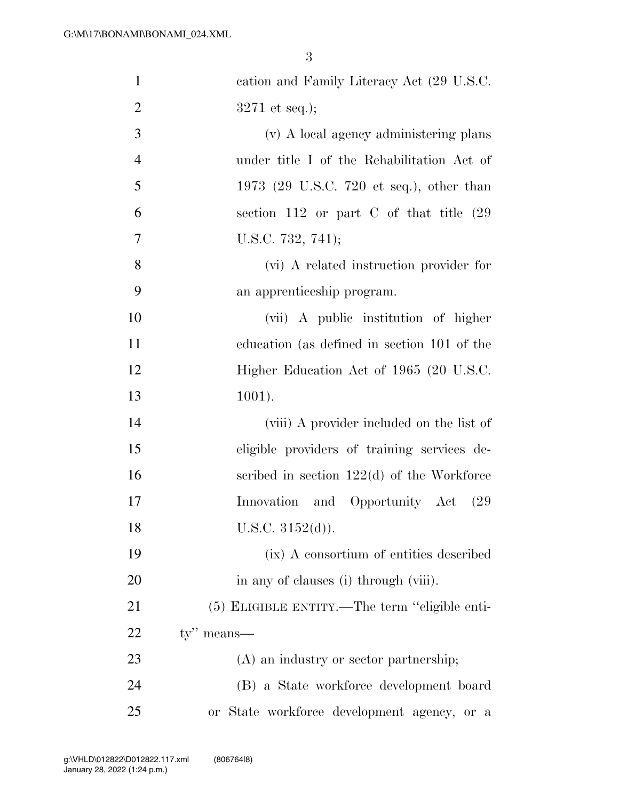| $\mathbf{1}$   | cation and Family Literacy Act (29 U.S.C.      |
|----------------|------------------------------------------------|
| $\overline{2}$ | $3271$ et seq.);                               |
| 3              | (v) A local agency administering plans         |
| $\overline{4}$ | under title I of the Rehabilitation Act of     |
| 5              | 1973 (29 U.S.C. 720 et seq.), other than       |
| 6              | section $112$ or part C of that title $(29)$   |
| 7              | U.S.C. 732, 741);                              |
| 8              | (vi) A related instruction provider for        |
| 9              | an apprenticeship program.                     |
| 10             | (vii) A public institution of higher           |
| 11             | education (as defined in section 101 of the    |
| 12             | Higher Education Act of 1965 (20 U.S.C.        |
| 13             | $1001$ ).                                      |
| 14             | (viii) A provider included on the list of      |
| 15             | eligible providers of training services de-    |
| 16             | scribed in section $122(d)$ of the Workforce   |
| 17             | Innovation and Opportunity Act<br>(29)         |
| 18             | U.S.C. $3152(d)$ ).                            |
| 19             | (ix) A consortium of entities described        |
| 20             | in any of clauses (i) through (viii).          |
| 21             | (5) ELIGIBLE ENTITY.—The term "eligible enti-  |
| 22             | $ty''$ means—                                  |
| 23             | (A) an industry or sector partnership;         |
| 24             | (B) a State workforce development board        |
| 25             | State workforce development agency, or a<br>0r |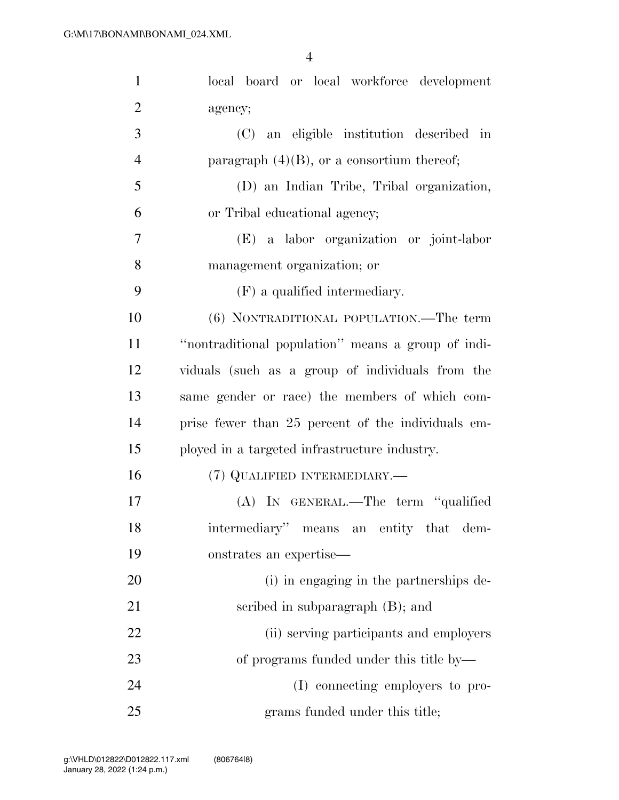| $\mathbf{1}$   | local board or local workforce development         |
|----------------|----------------------------------------------------|
| $\overline{2}$ | agency;                                            |
| 3              | (C) an eligible institution described in           |
| $\overline{4}$ | paragraph $(4)(B)$ , or a consortium thereof;      |
| 5              | (D) an Indian Tribe, Tribal organization,          |
| 6              | or Tribal educational agency;                      |
| 7              | (E) a labor organization or joint-labor            |
| 8              | management organization; or                        |
| 9              | (F) a qualified intermediary.                      |
| 10             | (6) NONTRADITIONAL POPULATION.—The term            |
| 11             | "nontraditional population" means a group of indi- |
| 12             | viduals (such as a group of individuals from the   |
| 13             | same gender or race) the members of which com-     |
| 14             | prise fewer than 25 percent of the individuals em- |
| 15             | ployed in a targeted infrastructure industry.      |
| 16             | (7) QUALIFIED INTERMEDIARY.—                       |
| 17             | (A) IN GENERAL.—The term "qualified                |
| 18             | intermediary" means an entity that dem-            |
| 19             | onstrates an expertise-                            |
| 20             | (i) in engaging in the partnerships de-            |
| 21             | scribed in subparagraph (B); and                   |
| 22             | (ii) serving participants and employers            |
| 23             | of programs funded under this title by-            |
| 24             | (I) connecting employers to pro-                   |
| 25             | grams funded under this title;                     |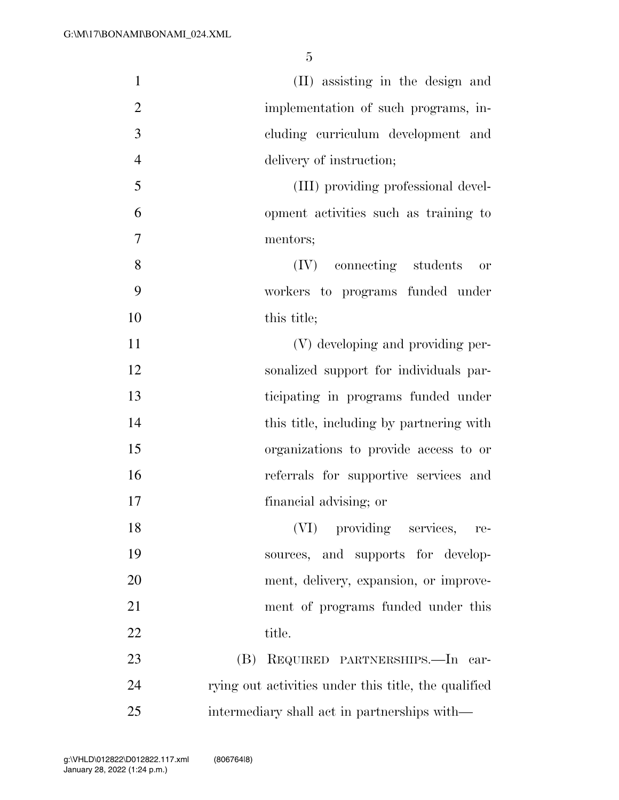| $\mathbf{1}$   | (II) assisting in the design and                     |
|----------------|------------------------------------------------------|
| $\overline{2}$ | implementation of such programs, in-                 |
| 3              | cluding curriculum development and                   |
| $\overline{4}$ | delivery of instruction;                             |
| 5              | (III) providing professional devel-                  |
| 6              | opment activities such as training to                |
| 7              | mentors;                                             |
| 8              | (IV) connecting students<br>or                       |
| 9              | workers to programs funded under                     |
| 10             | this title;                                          |
| 11             | (V) developing and providing per-                    |
| 12             | sonalized support for individuals par-               |
| 13             | ticipating in programs funded under                  |
| 14             | this title, including by partnering with             |
| 15             | organizations to provide access to or                |
| 16             | referrals for supportive services and                |
| 17             | financial advising; or                               |
| 18             | (VI) providing services,<br>re-                      |
| 19             | sources, and supports for develop-                   |
| 20             | ment, delivery, expansion, or improve-               |
| 21             | ment of programs funded under this                   |
| 22             | title.                                               |
| 23             | REQUIRED PARTNERSHIPS.—In car-<br>(B)                |
| 24             | rying out activities under this title, the qualified |
| 25             | intermediary shall act in partnerships with—         |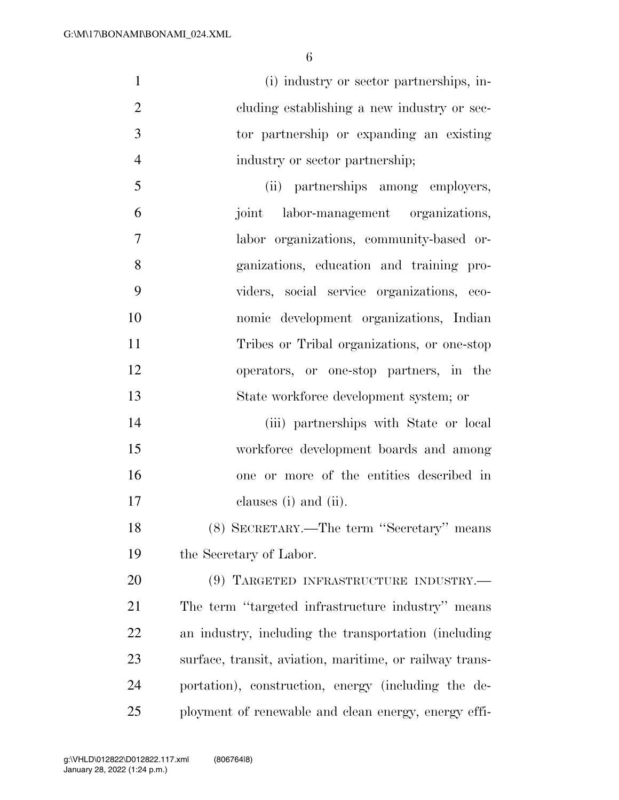(i) industry or sector partnerships, in-2 cluding establishing a new industry or sec- tor partnership or expanding an existing industry or sector partnership; (ii) partnerships among employers, joint labor-management organizations, labor organizations, community-based or- ganizations, education and training pro- viders, social service organizations, eco- nomic development organizations, Indian Tribes or Tribal organizations, or one-stop operators, or one-stop partners, in the State workforce development system; or (iii) partnerships with State or local workforce development boards and among

clauses (i) and (ii).

 (8) SECRETARY.—The term ''Secretary'' means the Secretary of Labor.

one or more of the entities described in

 (9) TARGETED INFRASTRUCTURE INDUSTRY.— The term ''targeted infrastructure industry'' means an industry, including the transportation (including surface, transit, aviation, maritime, or railway trans- portation), construction, energy (including the de-ployment of renewable and clean energy, energy effi-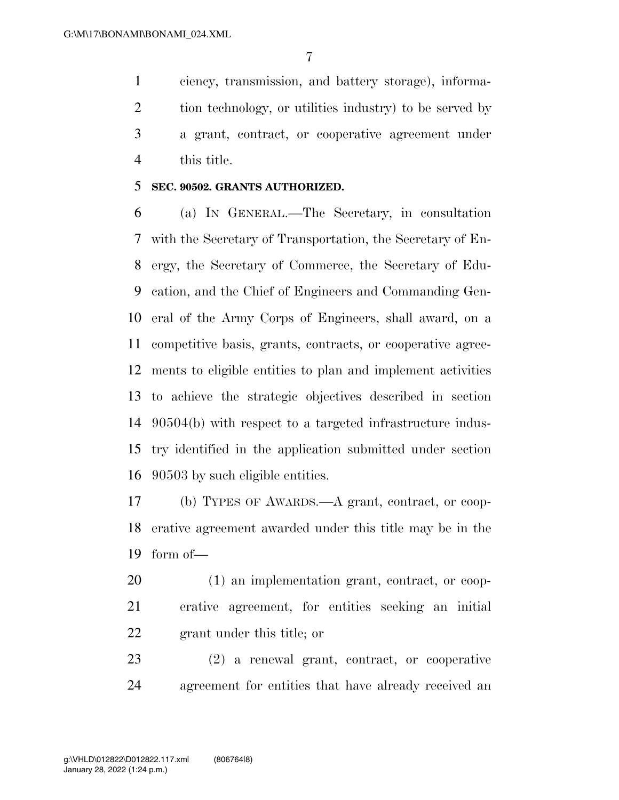ciency, transmission, and battery storage), informa- tion technology, or utilities industry) to be served by a grant, contract, or cooperative agreement under this title.

#### **SEC. 90502. GRANTS AUTHORIZED.**

 (a) IN GENERAL.—The Secretary, in consultation with the Secretary of Transportation, the Secretary of En- ergy, the Secretary of Commerce, the Secretary of Edu- cation, and the Chief of Engineers and Commanding Gen- eral of the Army Corps of Engineers, shall award, on a competitive basis, grants, contracts, or cooperative agree- ments to eligible entities to plan and implement activities to achieve the strategic objectives described in section 90504(b) with respect to a targeted infrastructure indus- try identified in the application submitted under section 90503 by such eligible entities.

 (b) TYPES OF AWARDS.—A grant, contract, or coop- erative agreement awarded under this title may be in the form of—

 (1) an implementation grant, contract, or coop- erative agreement, for entities seeking an initial grant under this title; or

 (2) a renewal grant, contract, or cooperative agreement for entities that have already received an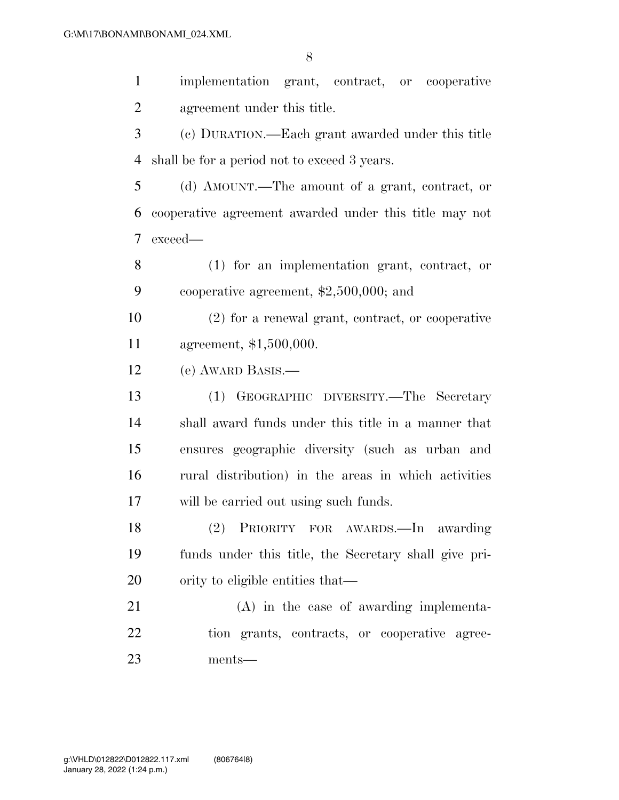implementation grant, contract, or cooperative agreement under this title.

 (c) DURATION.—Each grant awarded under this title shall be for a period not to exceed 3 years.

 (d) AMOUNT.—The amount of a grant, contract, or cooperative agreement awarded under this title may not exceed—

 (1) for an implementation grant, contract, or cooperative agreement, \$2,500,000; and

 (2) for a renewal grant, contract, or cooperative agreement, \$1,500,000.

(e) AWARD BASIS.—

 (1) GEOGRAPHIC DIVERSITY.—The Secretary shall award funds under this title in a manner that ensures geographic diversity (such as urban and rural distribution) in the areas in which activities will be carried out using such funds.

 (2) PRIORITY FOR AWARDS.—In awarding funds under this title, the Secretary shall give pri-20 ority to eligible entities that—

 (A) in the case of awarding implementa- tion grants, contracts, or cooperative agree-ments—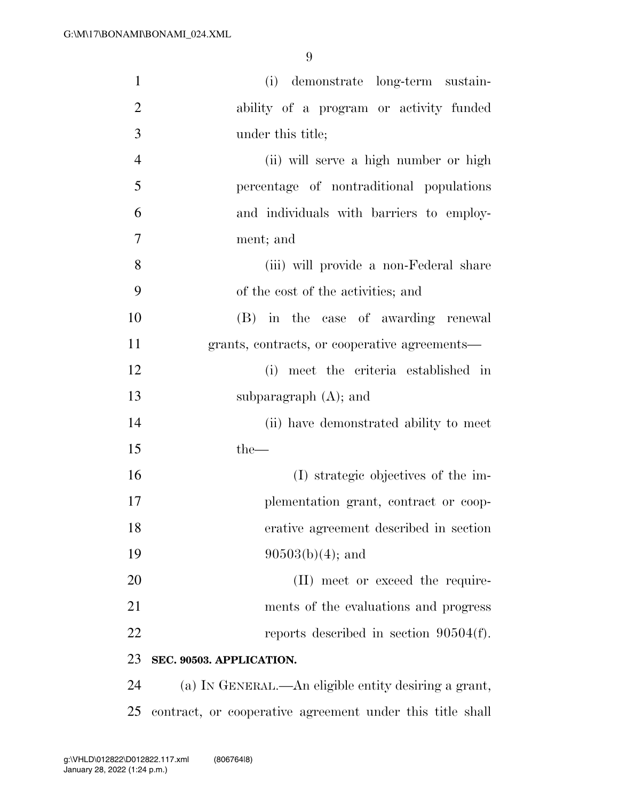| $\mathbf{1}$   | (i) demonstrate long-term sustain-                   |
|----------------|------------------------------------------------------|
| $\overline{2}$ | ability of a program or activity funded              |
| 3              | under this title;                                    |
| $\overline{4}$ | (ii) will serve a high number or high                |
| 5              | percentage of nontraditional populations             |
| 6              | and individuals with barriers to employ-             |
| 7              | ment; and                                            |
| 8              | (iii) will provide a non-Federal share               |
| 9              | of the cost of the activities; and                   |
| 10             | (B) in the case of awarding renewal                  |
| 11             | grants, contracts, or cooperative agreements—        |
| 12             | (i) meet the criteria established in                 |
| 13             | subparagraph $(A)$ ; and                             |
| 14             | (ii) have demonstrated ability to meet               |
| 15             | $the-$                                               |
| 16             | (I) strategic objectives of the im-                  |
| 17             | plementation grant, contract or coop-                |
| 18             | erative agreement described in section               |
| 19             | $90503(b)(4)$ ; and                                  |
| 20             | (II) meet or exceed the require-                     |
| 21             | ments of the evaluations and progress                |
| 22             | reports described in section $90504(f)$ .            |
| 23             | SEC. 90503. APPLICATION.                             |
| 24             | (a) IN GENERAL.—An eligible entity desiring a grant, |

contract, or cooperative agreement under this title shall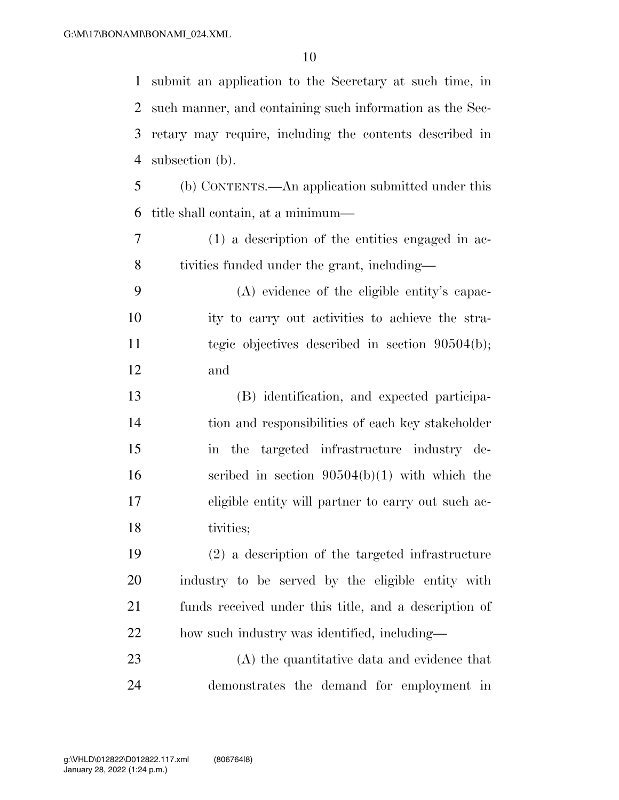submit an application to the Secretary at such time, in such manner, and containing such information as the Sec- retary may require, including the contents described in subsection (b). (b) CONTENTS.—An application submitted under this title shall contain, at a minimum— (1) a description of the entities engaged in ac- tivities funded under the grant, including— (A) evidence of the eligible entity's capac- ity to carry out activities to achieve the stra- tegic objectives described in section 90504(b); and (B) identification, and expected participa- tion and responsibilities of each key stakeholder in the targeted infrastructure industry de- scribed in section 90504(b)(1) with which the eligible entity will partner to carry out such ac- tivities; (2) a description of the targeted infrastructure industry to be served by the eligible entity with funds received under this title, and a description of how such industry was identified, including— (A) the quantitative data and evidence that

demonstrates the demand for employment in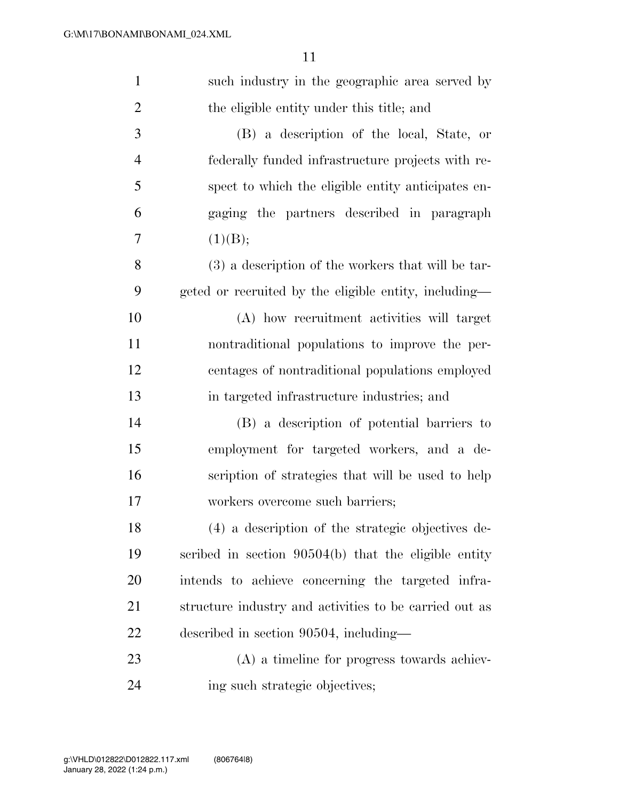| $\mathbf{1}$   | such industry in the geographic area served by         |
|----------------|--------------------------------------------------------|
| $\overline{2}$ | the eligible entity under this title; and              |
| 3              | (B) a description of the local, State, or              |
| $\overline{4}$ | federally funded infrastructure projects with re-      |
| 5              | spect to which the eligible entity anticipates en-     |
| 6              | gaging the partners described in paragraph             |
| 7              | (1)(B);                                                |
| 8              | (3) a description of the workers that will be tar-     |
| 9              | geted or recruited by the eligible entity, including—  |
| 10             | (A) how recruitment activities will target             |
| 11             | nontraditional populations to improve the per-         |
| 12             | centages of nontraditional populations employed        |
| 13             | in targeted infrastructure industries; and             |
| 14             | (B) a description of potential barriers to             |
| 15             | employment for targeted workers, and a de-             |
| 16             | scription of strategies that will be used to help      |
| 17             | workers overcome such barriers;                        |
| 18             | (4) a description of the strategic objectives de-      |
| 19             | scribed in section $90504(b)$ that the eligible entity |
| 20             | intends to achieve concerning the targeted infra-      |
| 21             | structure industry and activities to be carried out as |
| 22             | described in section 90504, including—                 |
| 23             | (A) a timeline for progress towards achiev-            |
| 24             | ing such strategic objectives;                         |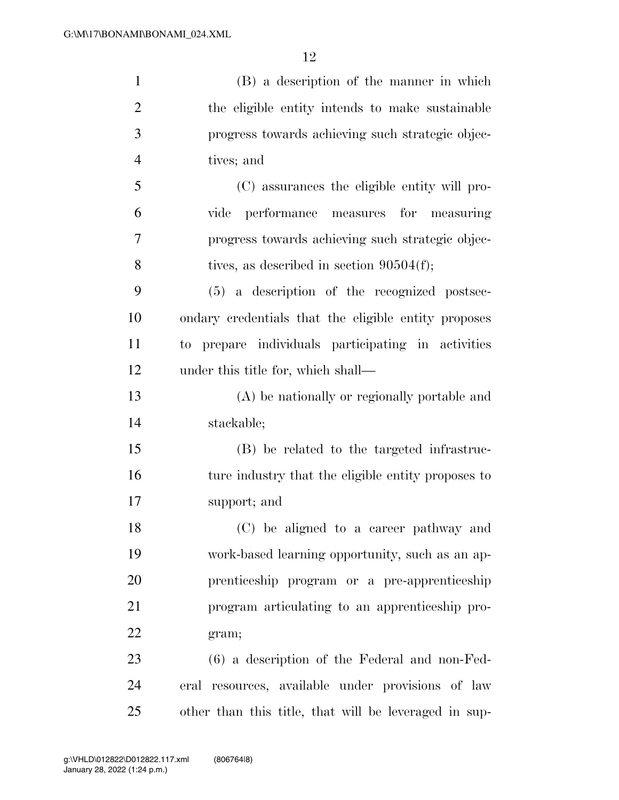| $\mathbf{1}$   | (B) a description of the manner in which              |
|----------------|-------------------------------------------------------|
| $\overline{2}$ | the eligible entity intends to make sustainable       |
| 3              | progress towards achieving such strategic objec-      |
| $\overline{4}$ | tives; and                                            |
| 5              | (C) assurances the eligible entity will pro-          |
| 6              | performance measures for measuring<br>vide            |
| 7              | progress towards achieving such strategic objec-      |
| 8              | tives, as described in section $90504(f)$ ;           |
| 9              | (5) a description of the recognized postsec-          |
| 10             | ondary credentials that the eligible entity proposes  |
| 11             | to prepare individuals participating in activities    |
| 12             | under this title for, which shall—                    |
| 13             | (A) be nationally or regionally portable and          |
| 14             | stackable;                                            |
| 15             | (B) be related to the targeted infrastruc-            |
| 16             | ture industry that the eligible entity proposes to    |
| 17             | support; and                                          |
| 18             | (C) be aligned to a career pathway and                |
| 19             | work-based learning opportunity, such as an ap-       |
| 20             | prenticeship program or a pre-apprenticeship          |
| 21             | program articulating to an apprenticeship pro-        |
| 22             | gram;                                                 |
| 23             | $(6)$ a description of the Federal and non-Fed-       |
| 24             | eral resources, available under provisions of law     |
| 25             | other than this title, that will be leveraged in sup- |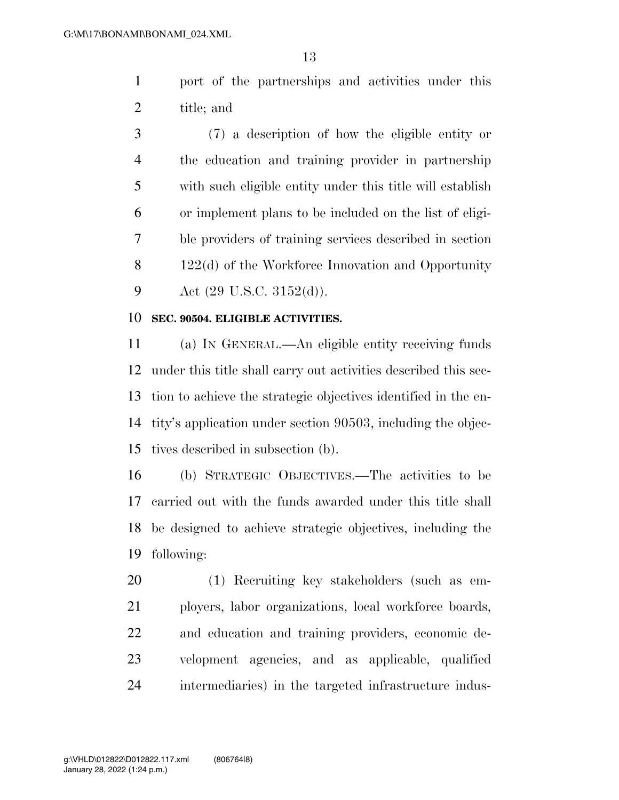port of the partnerships and activities under this title; and

 (7) a description of how the eligible entity or the education and training provider in partnership with such eligible entity under this title will establish or implement plans to be included on the list of eligi- ble providers of training services described in section 8 122(d) of the Workforce Innovation and Opportunity 9 Act  $(29 \text{ U.S.C. } 3152(d))$ .

#### **SEC. 90504. ELIGIBLE ACTIVITIES.**

 (a) IN GENERAL.—An eligible entity receiving funds under this title shall carry out activities described this sec- tion to achieve the strategic objectives identified in the en- tity's application under section 90503, including the objec-tives described in subsection (b).

 (b) STRATEGIC OBJECTIVES.—The activities to be carried out with the funds awarded under this title shall be designed to achieve strategic objectives, including the following:

 (1) Recruiting key stakeholders (such as em- ployers, labor organizations, local workforce boards, and education and training providers, economic de- velopment agencies, and as applicable, qualified intermediaries) in the targeted infrastructure indus-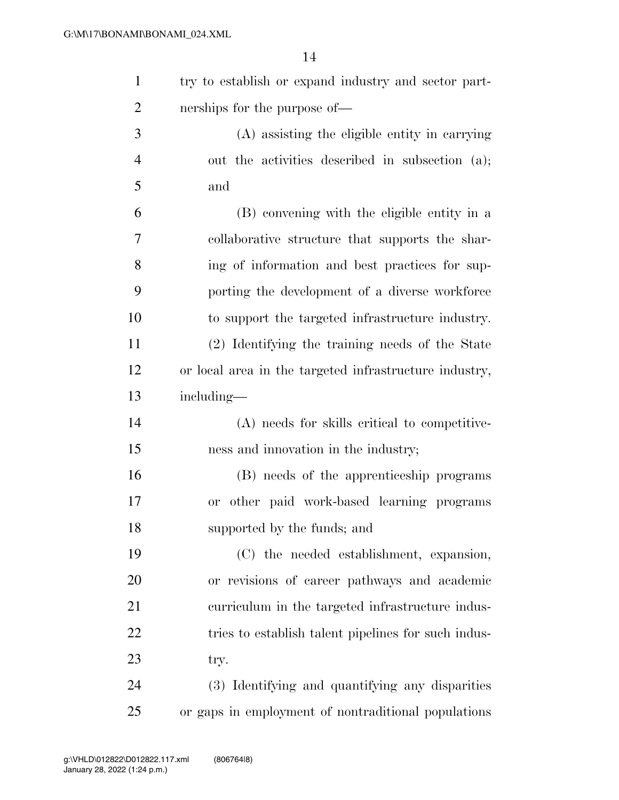| 1              | try to establish or expand industry and sector part-   |
|----------------|--------------------------------------------------------|
| $\overline{2}$ | nerships for the purpose of—                           |
| 3              | (A) assisting the eligible entity in carrying          |
| $\overline{4}$ | out the activities described in subsection (a);        |
| 5              | and                                                    |
| 6              | (B) convening with the eligible entity in a            |
| $\overline{7}$ | collaborative structure that supports the shar-        |
| 8              | ing of information and best practices for sup-         |
| 9              | porting the development of a diverse workforce         |
| 10             | to support the targeted infrastructure industry.       |
| 11             | (2) Identifying the training needs of the State        |
| 12             | or local area in the targeted infrastructure industry, |
| 13             | including—                                             |
| 14             | (A) needs for skills critical to competitive-          |
| 15             | ness and innovation in the industry;                   |
| 16             | (B) needs of the apprenticeship programs               |
| 17             | or other paid work-based learning programs             |
| 18             | supported by the funds; and                            |
| 19             | (C) the needed establishment, expansion,               |
| 20             | or revisions of career pathways and academic           |
| 21             | curriculum in the targeted infrastructure indus-       |
| 22             | tries to establish talent pipelines for such indus-    |
| 23             | try.                                                   |
| 24             | (3) Identifying and quantifying any disparities        |
| 25             | or gaps in employment of nontraditional populations    |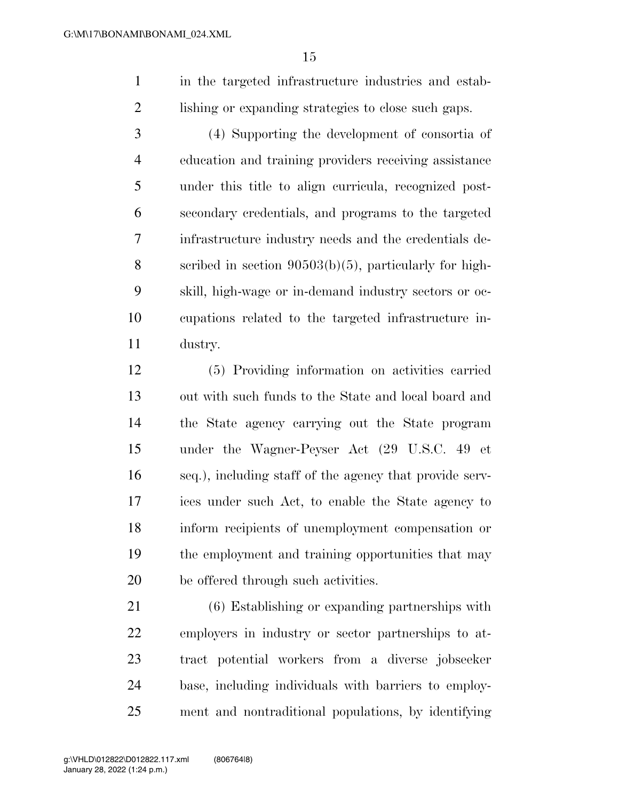in the targeted infrastructure industries and estab-lishing or expanding strategies to close such gaps.

 (4) Supporting the development of consortia of education and training providers receiving assistance under this title to align curricula, recognized post- secondary credentials, and programs to the targeted infrastructure industry needs and the credentials de- scribed in section 90503(b)(5), particularly for high- skill, high-wage or in-demand industry sectors or oc- cupations related to the targeted infrastructure in-dustry.

 (5) Providing information on activities carried out with such funds to the State and local board and the State agency carrying out the State program under the Wagner-Peyser Act (29 U.S.C. 49 et seq.), including staff of the agency that provide serv- ices under such Act, to enable the State agency to inform recipients of unemployment compensation or the employment and training opportunities that may be offered through such activities.

 (6) Establishing or expanding partnerships with employers in industry or sector partnerships to at- tract potential workers from a diverse jobseeker base, including individuals with barriers to employ-ment and nontraditional populations, by identifying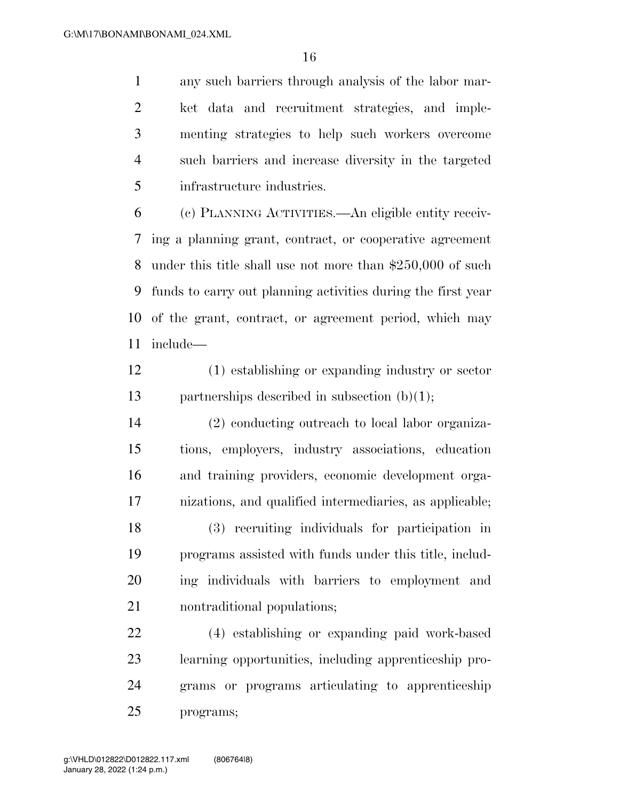any such barriers through analysis of the labor mar- ket data and recruitment strategies, and imple- menting strategies to help such workers overcome such barriers and increase diversity in the targeted infrastructure industries.

 (c) PLANNING ACTIVITIES.—An eligible entity receiv- ing a planning grant, contract, or cooperative agreement under this title shall use not more than \$250,000 of such funds to carry out planning activities during the first year of the grant, contract, or agreement period, which may include—

 (1) establishing or expanding industry or sector partnerships described in subsection (b)(1);

 (2) conducting outreach to local labor organiza- tions, employers, industry associations, education and training providers, economic development orga- nizations, and qualified intermediaries, as applicable; (3) recruiting individuals for participation in programs assisted with funds under this title, includ-ing individuals with barriers to employment and

nontraditional populations;

 (4) establishing or expanding paid work-based learning opportunities, including apprenticeship pro- grams or programs articulating to apprenticeship programs;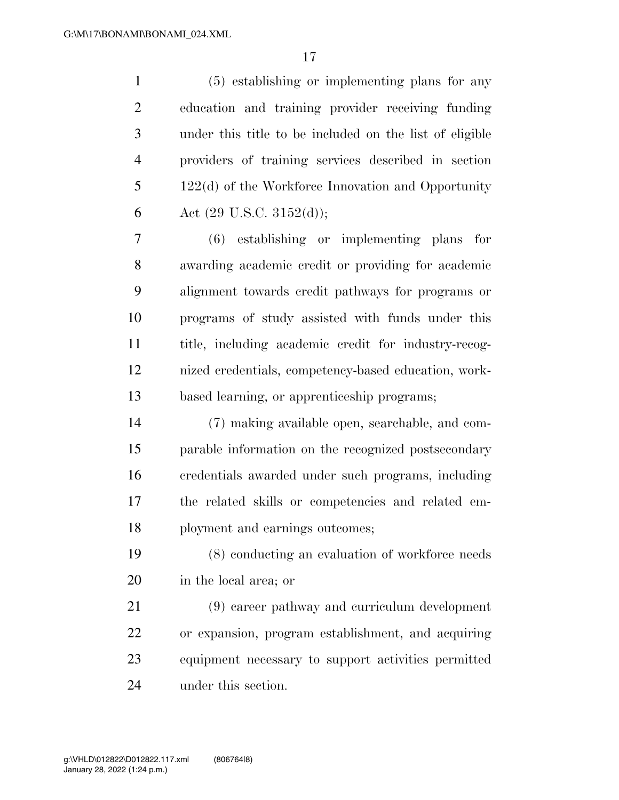(5) establishing or implementing plans for any education and training provider receiving funding under this title to be included on the list of eligible providers of training services described in section 122(d) of the Workforce Innovation and Opportunity 6 Act  $(29 \text{ U.S.C. } 3152(d));$ 

 (6) establishing or implementing plans for awarding academic credit or providing for academic alignment towards credit pathways for programs or programs of study assisted with funds under this title, including academic credit for industry-recog- nized credentials, competency-based education, work-based learning, or apprenticeship programs;

 (7) making available open, searchable, and com- parable information on the recognized postsecondary credentials awarded under such programs, including the related skills or competencies and related em-ployment and earnings outcomes;

 (8) conducting an evaluation of workforce needs in the local area; or

 (9) career pathway and curriculum development or expansion, program establishment, and acquiring equipment necessary to support activities permitted under this section.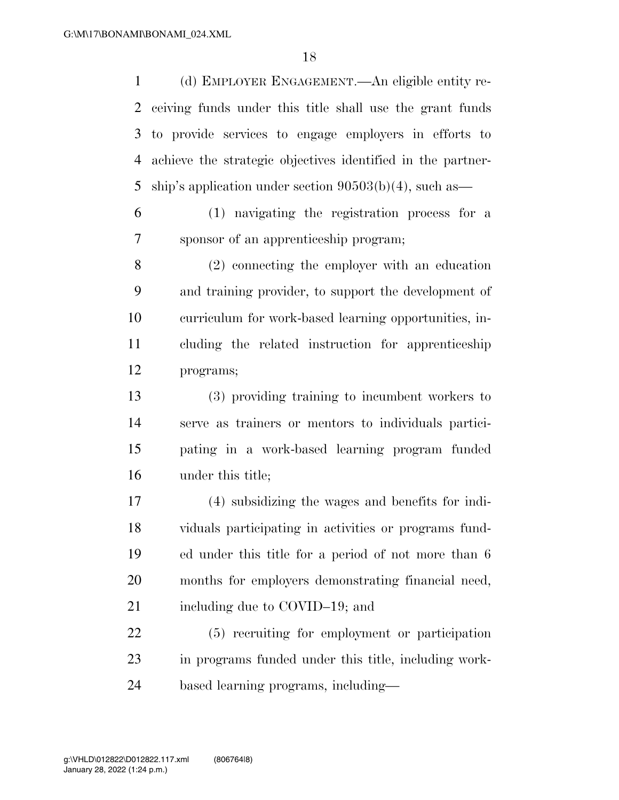(d) EMPLOYER ENGAGEMENT.—An eligible entity re- ceiving funds under this title shall use the grant funds to provide services to engage employers in efforts to achieve the strategic objectives identified in the partner-ship's application under section 90503(b)(4), such as—

 (1) navigating the registration process for a sponsor of an apprenticeship program;

 (2) connecting the employer with an education and training provider, to support the development of curriculum for work-based learning opportunities, in- cluding the related instruction for apprenticeship programs;

 (3) providing training to incumbent workers to serve as trainers or mentors to individuals partici- pating in a work-based learning program funded under this title;

 (4) subsidizing the wages and benefits for indi- viduals participating in activities or programs fund- ed under this title for a period of not more than 6 months for employers demonstrating financial need, 21 including due to COVID–19; and

 (5) recruiting for employment or participation in programs funded under this title, including work-based learning programs, including—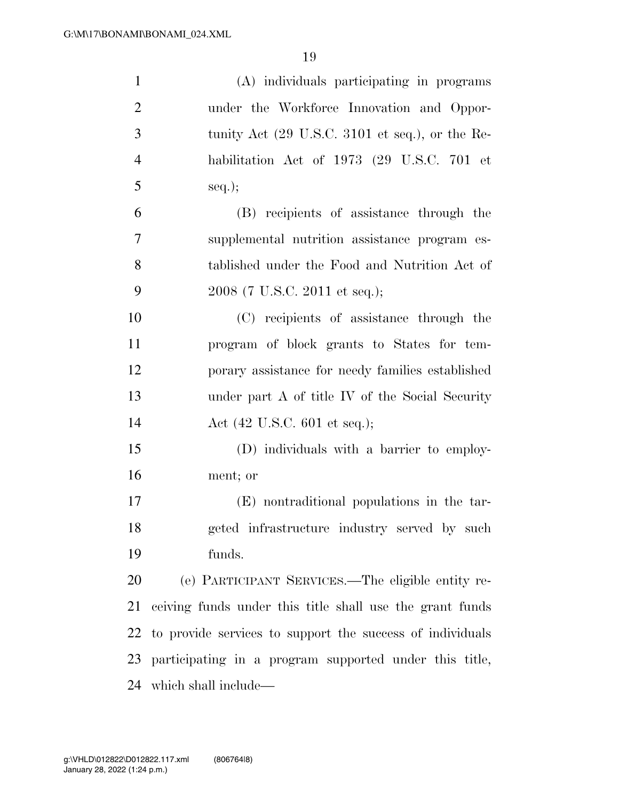| $\mathbf{1}$   | (A) individuals participating in programs                          |
|----------------|--------------------------------------------------------------------|
| $\overline{2}$ | under the Workforce Innovation and Oppor-                          |
| 3              | tunity Act $(29 \text{ U.S.C. } 3101 \text{ et seq.}),$ or the Re- |
| $\overline{4}$ | habilitation Act of 1973 (29 U.S.C. 701 et                         |
| 5              | $seq.$ ;                                                           |
| 6              | (B) recipients of assistance through the                           |
| $\overline{7}$ | supplemental nutrition assistance program es-                      |
| 8              | tablished under the Food and Nutrition Act of                      |
| 9              | 2008 (7 U.S.C. 2011 et seq.);                                      |
| 10             | (C) recipients of assistance through the                           |
| 11             | program of block grants to States for tem-                         |
| 12             | porary assistance for needy families established                   |
| 13             | under part A of title IV of the Social Security                    |
| 14             | Act $(42 \text{ U.S.C. } 601 \text{ et seq.});$                    |
| 15             | (D) individuals with a barrier to employ-                          |
| 16             | ment; or                                                           |
| 17             | (E) nontraditional populations in the tar-                         |
| 18             | geted infrastructure industry served by such                       |
| 19             | funds.                                                             |
| 20             | (e) PARTICIPANT SERVICES.—The eligible entity re-                  |
| 21             | ceiving funds under this title shall use the grant funds           |
| 22             | to provide services to support the success of individuals          |
| 23             | participating in a program supported under this title,             |
|                | 24 which shall include—                                            |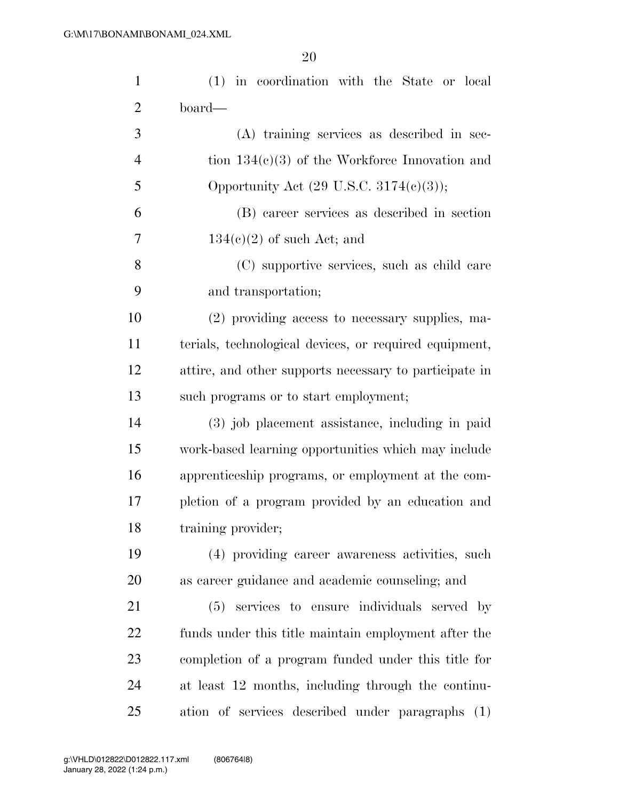| $\mathbf{1}$   | (1) in coordination with the State or local            |
|----------------|--------------------------------------------------------|
| $\overline{2}$ | board—                                                 |
| 3              | (A) training services as described in sec-             |
| $\overline{4}$ | tion $134(c)(3)$ of the Workforce Innovation and       |
| 5              | Opportunity Act $(29 \text{ U.S.C. } 3174(c)(3));$     |
| 6              | (B) career services as described in section            |
| 7              | $134(c)(2)$ of such Act; and                           |
| 8              | (C) supportive services, such as child care            |
| 9              | and transportation;                                    |
| 10             | (2) providing access to necessary supplies, ma-        |
| 11             | terials, technological devices, or required equipment, |
| 12             | attire, and other supports necessary to participate in |
| 13             | such programs or to start employment;                  |
| 14             | (3) job placement assistance, including in paid        |
| 15             | work-based learning opportunities which may include    |
| 16             | apprenticeship programs, or employment at the com-     |
| 17             | pletion of a program provided by an education and      |
| 18             | training provider;                                     |
| 19             | (4) providing career awareness activities, such        |
| 20             | as career guidance and academic counseling; and        |
| 21             | services to ensure individuals served by<br>(5)        |
| 22             | funds under this title maintain employment after the   |
| 23             | completion of a program funded under this title for    |
| 24             | at least 12 months, including through the continu-     |
| 25             | ation of services described under paragraphs (1)       |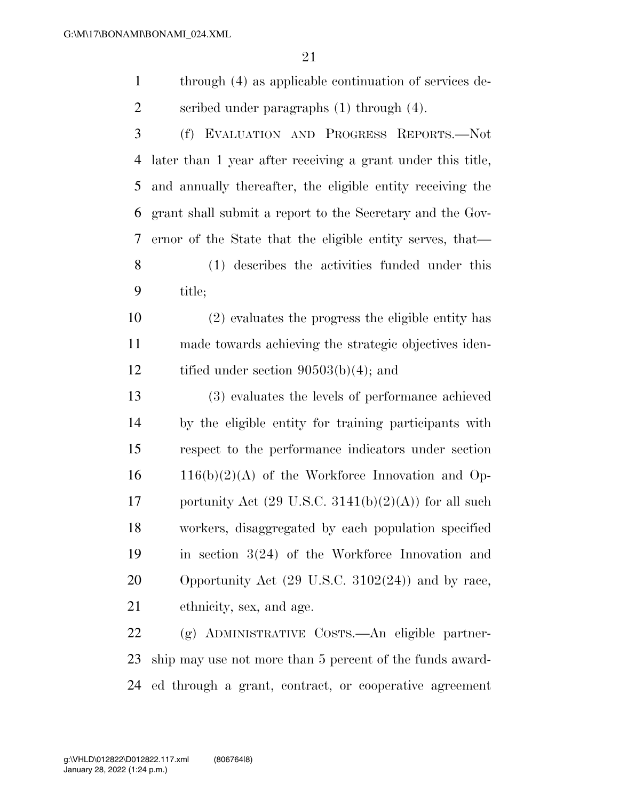- through (4) as applicable continuation of services de-scribed under paragraphs (1) through (4).
- (f) EVALUATION AND PROGRESS REPORTS.—Not later than 1 year after receiving a grant under this title, and annually thereafter, the eligible entity receiving the grant shall submit a report to the Secretary and the Gov- ernor of the State that the eligible entity serves, that— (1) describes the activities funded under this title;
- (2) evaluates the progress the eligible entity has made towards achieving the strategic objectives iden-12 tified under section  $90503(b)(4)$ ; and
- (3) evaluates the levels of performance achieved by the eligible entity for training participants with respect to the performance indicators under section  $16 \text{ } 116(b)(2)(A)$  of the Workforce Innovation and Op-17 portunity Act  $(29 \text{ U.S.C. } 3141(b)(2)(\text{A}))$  for all such workers, disaggregated by each population specified in section 3(24) of the Workforce Innovation and Opportunity Act (29 U.S.C. 3102(24)) and by race, ethnicity, sex, and age.
- (g) ADMINISTRATIVE COSTS.—An eligible partner- ship may use not more than 5 percent of the funds award-ed through a grant, contract, or cooperative agreement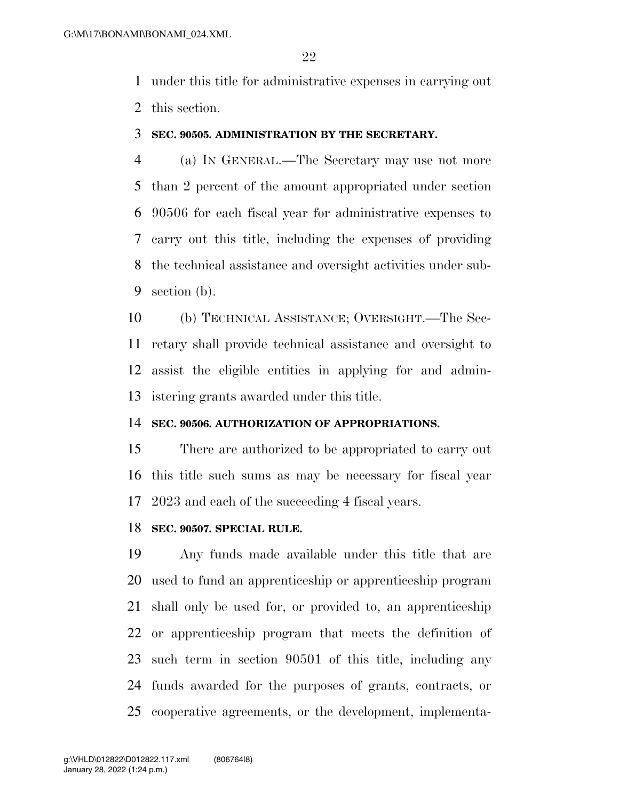under this title for administrative expenses in carrying out this section.

#### **SEC. 90505. ADMINISTRATION BY THE SECRETARY.**

 (a) IN GENERAL.—The Secretary may use not more than 2 percent of the amount appropriated under section 90506 for each fiscal year for administrative expenses to carry out this title, including the expenses of providing the technical assistance and oversight activities under sub-section (b).

 (b) TECHNICAL ASSISTANCE; OVERSIGHT.—The Sec- retary shall provide technical assistance and oversight to assist the eligible entities in applying for and admin-istering grants awarded under this title.

#### **SEC. 90506. AUTHORIZATION OF APPROPRIATIONS.**

 There are authorized to be appropriated to carry out this title such sums as may be necessary for fiscal year 2023 and each of the succeeding 4 fiscal years.

#### **SEC. 90507. SPECIAL RULE.**

 Any funds made available under this title that are used to fund an apprenticeship or apprenticeship program shall only be used for, or provided to, an apprenticeship or apprenticeship program that meets the definition of such term in section 90501 of this title, including any funds awarded for the purposes of grants, contracts, or cooperative agreements, or the development, implementa-